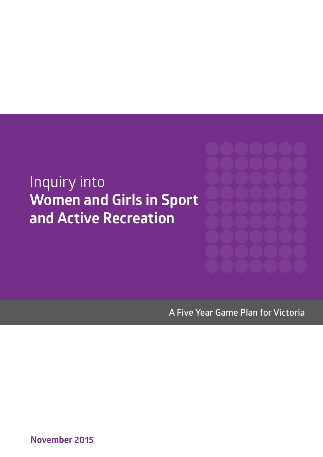# Inquiry into **Women and Girls in Sport and Active Recreation**

**A Five Year Game Plan for Victoria**

**November 2015**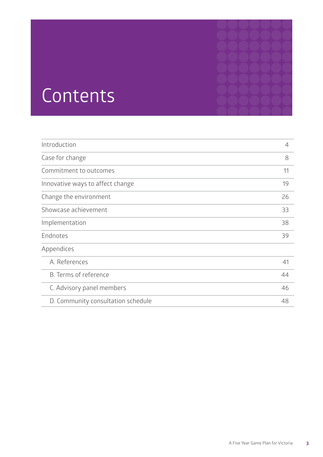# Contents

| Introduction                       | 4  |
|------------------------------------|----|
| Case for change                    | 8  |
| Commitment to outcomes             | 11 |
| Innovative ways to affect change   | 19 |
| Change the environment             | 26 |
| Showcase achievement               | 33 |
| Implementation                     | 38 |
| Endnotes                           | 39 |
| Appendices                         |    |
| A. References                      | 41 |
| B. Terms of reference              | 44 |
| C. Advisory panel members          | 46 |
| D. Community consultation schedule | 48 |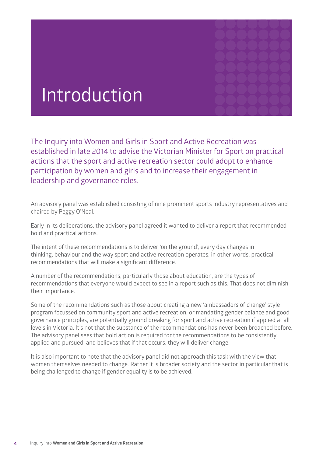

# Introduction

The Inquiry into Women and Girls in Sport and Active Recreation was established in late 2014 to advise the Victorian Minister for Sport on practical actions that the sport and active recreation sector could adopt to enhance participation by women and girls and to increase their engagement in leadership and governance roles.

An advisory panel was established consisting of nine prominent sports industry representatives and chaired by Peggy O'Neal.

Early in its deliberations, the advisory panel agreed it wanted to deliver a report that recommended bold and practical actions.

The intent of these recommendations is to deliver 'on the ground', every day changes in thinking, behaviour and the way sport and active recreation operates, in other words, practical recommendations that will make a significant difference.

A number of the recommendations, particularly those about education, are the types of recommendations that everyone would expect to see in a report such as this. That does not diminish their importance.

Some of the recommendations such as those about creating a new 'ambassadors of change' style program focussed on community sport and active recreation, or mandating gender balance and good governance principles, are potentially ground breaking for sport and active recreation if applied at all levels in Victoria. It's not that the substance of the recommendations has never been broached before. The advisory panel sees that bold action is required for the recommendations to be consistently applied and pursued, and believes that if that occurs, they will deliver change.

It is also important to note that the advisory panel did not approach this task with the view that women themselves needed to change. Rather it is broader society and the sector in particular that is being challenged to change if gender equality is to be achieved.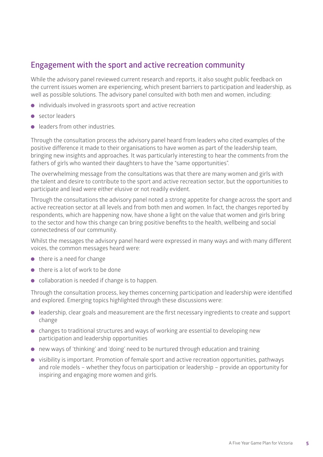#### **Engagement with the sport and active recreation community**

While the advisory panel reviewed current research and reports, it also sought public feedback on the current issues women are experiencing, which present barriers to participation and leadership, as well as possible solutions. The advisory panel consulted with both men and women, including:

- $\bullet$  individuals involved in grassroots sport and active recreation
- **e** sector leaders
- **Example 2** leaders from other industries

Through the consultation process the advisory panel heard from leaders who cited examples of the positive difference it made to their organisations to have women as part of the leadership team, bringing new insights and approaches. It was particularly interesting to hear the comments from the fathers of girls who wanted their daughters to have the "same opportunities".

The overwhelming message from the consultations was that there are many women and girls with the talent and desire to contribute to the sport and active recreation sector, but the opportunities to participate and lead were either elusive or not readily evident.

Through the consultations the advisory panel noted a strong appetite for change across the sport and active recreation sector at all levels and from both men and women. In fact, the changes reported by respondents, which are happening now, have shone a light on the value that women and girls bring to the sector and how this change can bring positive benefits to the health, wellbeing and social connectedness of our community.

Whilst the messages the advisory panel heard were expressed in many ways and with many different voices, the common messages heard were:

- $\bullet$  there is a need for change
- $\bullet$  there is a lot of work to be done
- **.** collaboration is needed if change is to happen.

Through the consultation process, key themes concerning participation and leadership were identified and explored. Emerging topics highlighted through these discussions were:

- leadership, clear goals and measurement are the first necessary ingredients to create and support change
- changes to traditional structures and ways of working are essential to developing new participation and leadership opportunities
- **.** new ways of 'thinking' and 'doing' need to be nurtured through education and training
- **.** visibility is important. Promotion of female sport and active recreation opportunities, pathways and role models – whether they focus on participation or leadership – provide an opportunity for inspiring and engaging more women and girls.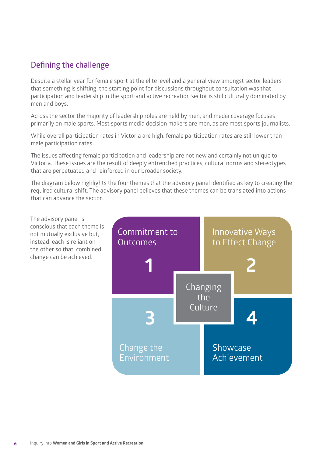#### **Defining the challenge**

Despite a stellar year for female sport at the elite level and a general view amongst sector leaders that something is shifting, the starting point for discussions throughout consultation was that participation and leadership in the sport and active recreation sector is still culturally dominated by men and boys.

Across the sector the majority of leadership roles are held by men, and media coverage focuses primarily on male sports. Most sports media decision makers are men, as are most sports journalists.

While overall participation rates in Victoria are high, female participation rates are still lower than male participation rates.

The issues affecting female participation and leadership are not new and certainly not unique to Victoria. These issues are the result of deeply entrenched practices, cultural norms and stereotypes that are perpetuated and reinforced in our broader society.

The diagram below highlights the four themes that the advisory panel identified as key to creating the required cultural shift. The advisory panel believes that these themes can be translated into actions that can advance the sector.

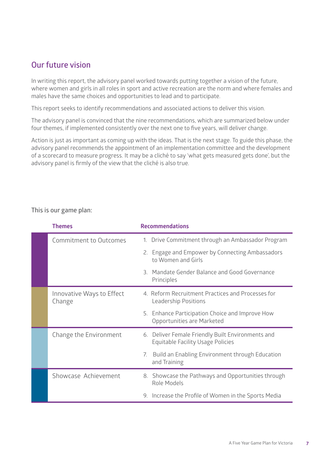#### **Our future vision**

In writing this report, the advisory panel worked towards putting together a vision of the future, where women and girls in all roles in sport and active recreation are the norm and where females and males have the same choices and opportunities to lead and to participate.

This report seeks to identify recommendations and associated actions to deliver this vision.

The advisory panel is convinced that the nine recommendations, which are summarized below under four themes, if implemented consistently over the next one to five years, will deliver change.

Action is just as important as coming up with the ideas. That is the next stage. To guide this phase, the advisory panel recommends the appointment of an implementation committee and the development of a scorecard to measure progress. It may be a cliché to say 'what gets measured gets done', but the advisory panel is firmly of the view that the cliché is also true.

| <b>Themes</b>                       | <b>Recommendations</b>                                                                        |
|-------------------------------------|-----------------------------------------------------------------------------------------------|
| <b>Commitment to Outcomes</b>       | 1. Drive Commitment through an Ambassador Program                                             |
|                                     | 2. Engage and Empower by Connecting Ambassadors<br>to Women and Girls                         |
|                                     | 3. Mandate Gender Balance and Good Governance<br>Principles                                   |
| Innovative Ways to Effect<br>Change | 4. Reform Recruitment Practices and Processes for<br><b>Leadership Positions</b>              |
|                                     | 5. Enhance Participation Choice and Improve How<br>Opportunities are Marketed                 |
| Change the Environment              | 6. Deliver Female Friendly Built Environments and<br><b>Equitable Facility Usage Policies</b> |
|                                     | Build an Enabling Environment through Education<br>7.<br>and Training                         |
| Showcase Achievement                | 8. Showcase the Pathways and Opportunities through<br>Role Models                             |
|                                     | 9. Increase the Profile of Women in the Sports Media                                          |
|                                     |                                                                                               |

**This is our game plan:**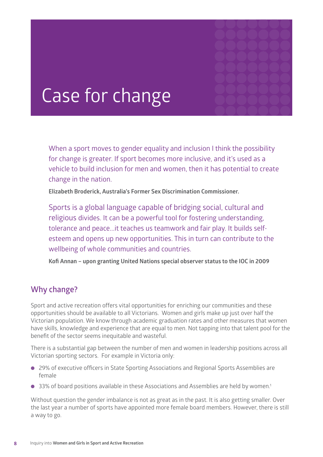

# Case for change

When a sport moves to gender equality and inclusion I think the possibility for change is greater. If sport becomes more inclusive, and it's used as a vehicle to build inclusion for men and women, then it has potential to create change in the nation.

**Elizabeth Broderick, Australia's Former Sex Discrimination Commissioner.** 

Sports is a global language capable of bridging social, cultural and religious divides. It can be a powerful tool for fostering understanding, tolerance and peace...it teaches us teamwork and fair play. It builds selfesteem and opens up new opportunities. This in turn can contribute to the wellbeing of whole communities and countries.

**Kofi Annan – upon granting United Nations special observer status to the IOC in 2009**

#### **Why change?**

Sport and active recreation offers vital opportunities for enriching our communities and these opportunities should be available to all Victorians. Women and girls make up just over half the Victorian population. We know through academic graduation rates and other measures that women have skills, knowledge and experience that are equal to men. Not tapping into that talent pool for the benefit of the sector seems inequitable and wasteful.

There is a substantial gap between the number of men and women in leadership positions across all Victorian sporting sectors. For example in Victoria only:

- 29% of executive officers in State Sporting Associations and Regional Sports Assemblies are female
- $\bullet$  33% of board positions available in these Associations and Assemblies are held by women.<sup>1</sup>

Without question the gender imbalance is not as great as in the past. It is also getting smaller. Over the last year a number of sports have appointed more female board members. However, there is still a way to go.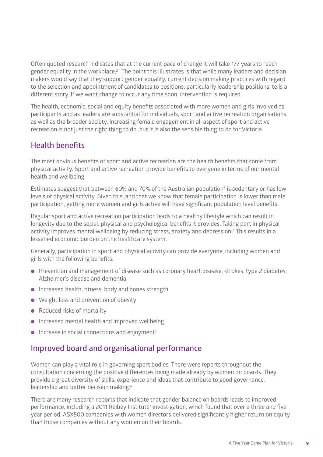Often quoted research indicates that at the current pace of change it will take 177 years to reach gender equality in the workplace.2 The point this illustrates is that while many leaders and decision makers would say that they support gender equality, current decision making practices with regard to the selection and appointment of candidates to positions, particularly leadership positions, tells a different story. If we want change to occur any time soon, intervention is required.

The health, economic, social and equity benefits associated with more women and girls involved as participants and as leaders are substantial for individuals, sport and active recreation organisations, as well as the broader society. Increasing female engagement in all aspect of sport and active recreation is not just the right thing to do, but it is also the sensible thing to do for Victoria.

#### **Health benefits**

The most obvious benefits of sport and active recreation are the health benefits that come from physical activity. Sport and active recreation provide benefits to everyone in terms of our mental health and wellbeing.

Estimates suggest that between 60% and 70% of the Australian population<sup>3</sup> is sedentary or has low levels of physical activity. Given this, and that we know that female participation is lower than male participation, getting more women and girls active will have significant population level benefits.

Regular sport and active recreation participation leads to a healthy lifestyle which can result in longevity due to the social, physical and psychological benefits it provides. Taking part in physical activity improves mental wellbeing by reducing stress, anxiety and depression.<sup>4</sup> This results in a lessened economic burden on the healthcare system.

Generally, participation in sport and physical activity can provide everyone, including women and girls with the following benefits:

- **•** Prevention and management of disease such as coronary heart disease, strokes, type 2 diabetes, Alzheimer's disease and dementia
- $\bullet$  Increased health, fitness, body and bones strength
- $\bullet$  Weight loss and prevention of obesity
- $\bullet$  Reduced risks of mortality
- $\bullet$  Increased mental health and improved wellbeing
- $\bullet$  Increase in social connections and enjoyment<sup>5</sup>

#### **Improved board and organisational performance**

Women can play a vital role in governing sport bodies. There were reports throughout the consultation concerning the positive differences being made already by women on boards. They provide a great diversity of skills, experience and ideas that contribute to good governance, leadership and better decision making.<sup>6</sup>

There are many research reports that indicate that gender balance on boards leads to improved performance, including a 2011 Reibey Institute<sup>7</sup> investigation, which found that over a three and five year period, ASX500 companies with women directors delivered significantly higher return on equity than those companies without any women on their boards.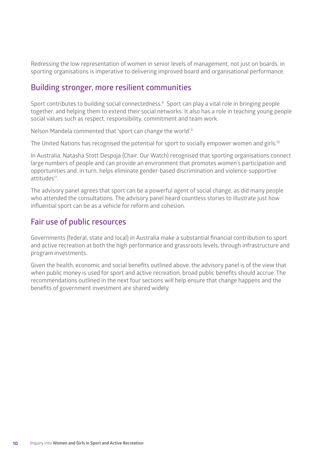Redressing the low representation of women in senior levels of management, not just on boards, in sporting organisations is imperative to delivering improved board and organisational performance.

#### **Building stronger, more resilient communities**

Sport contributes to building social connectedness.<sup>8</sup> Sport can play a vital role in bringing people together, and helping them to extend their social networks. It also has a role in teaching young people social values such as respect, responsibility, commitment and team work.

Nelson Mandela commented that 'sport can change the world'.9

The United Nations has recognised the potential for sport to socially empower women and girls.<sup>10</sup>

In Australia, Natasha Stott Despoja (Chair, Our Watch) recognised that sporting organisations connect large numbers of people and can provide an environment that promotes women's participation and opportunities and, in turn, helps eliminate gender-based discrimination and violence-supportive attitudes11.

The advisory panel agrees that sport can be a powerful agent of social change, as did many people who attended the consultations. The advisory panel heard countless stories to illustrate just how influential sport can be as a vehicle for reform and cohesion.

#### **Fair use of public resources**

Governments (federal, state and local) in Australia make a substantial financial contribution to sport and active recreation at both the high performance and grassroots levels, through infrastructure and program investments.

Given the health, economic and social benefits outlined above, the advisory panel is of the view that when public money is used for sport and active recreation, broad public benefits should accrue. The recommendations outlined in the next four sections will help ensure that change happens and the benefits of government investment are shared widely.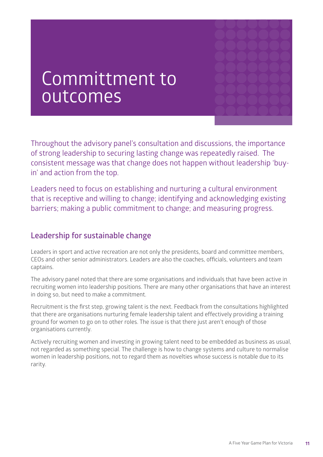# Committment to outcomes

Throughout the advisory panel's consultation and discussions, the importance of strong leadership to securing lasting change was repeatedly raised. The consistent message was that change does not happen without leadership 'buyin' and action from the top.

Leaders need to focus on establishing and nurturing a cultural environment that is receptive and willing to change; identifying and acknowledging existing barriers; making a public commitment to change; and measuring progress.

#### **Leadership for sustainable change**

Leaders in sport and active recreation are not only the presidents, board and committee members, CEOs and other senior administrators. Leaders are also the coaches, officials, volunteers and team captains.

The advisory panel noted that there are some organisations and individuals that have been active in recruiting women into leadership positions. There are many other organisations that have an interest in doing so, but need to make a commitment.

Recruitment is the first step, growing talent is the next. Feedback from the consultations highlighted that there are organisations nurturing female leadership talent and effectively providing a training ground for women to go on to other roles. The issue is that there just aren't enough of those organisations currently.

Actively recruiting women and investing in growing talent need to be embedded as business as usual, not regarded as something special. The challenge is how to change systems and culture to normalise women in leadership positions, not to regard them as novelties whose success is notable due to its rarity.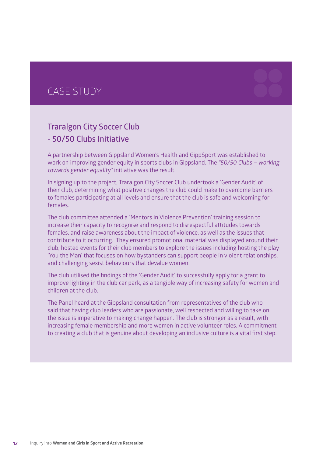### CASE STUDY

### **Traralgon City Soccer Club - 50/50 Clubs Initiative**

A partnership between Gippsland Women's Health and GippSport was established to work on improving gender equity in sports clubs in Gippsland. The "50/50 Clubs – working towards gender equality" initiative was the result.

In signing up to the project, Traralgon City Soccer Club undertook a 'Gender Audit' of their club, determining what positive changes the club could make to overcome barriers to females participating at all levels and ensure that the club is safe and welcoming for females.

The club committee attended a 'Mentors in Violence Prevention' training session to increase their capacity to recognise and respond to disrespectful attitudes towards females, and raise awareness about the impact of violence, as well as the issues that contribute to it occurring. They ensured promotional material was displayed around their club, hosted events for their club members to explore the issues including hosting the play 'You the Man' that focuses on how bystanders can support people in violent relationships, and challenging sexist behaviours that devalue women.

The club utilised the findings of the 'Gender Audit' to successfully apply for a grant to improve lighting in the club car park, as a tangible way of increasing safety for women and children at the club.

The Panel heard at the Gippsland consultation from representatives of the club who said that having club leaders who are passionate, well respected and willing to take on the issue is imperative to making change happen. The club is stronger as a result, with increasing female membership and more women in active volunteer roles. A commitment to creating a club that is genuine about developing an inclusive culture is a vital first step.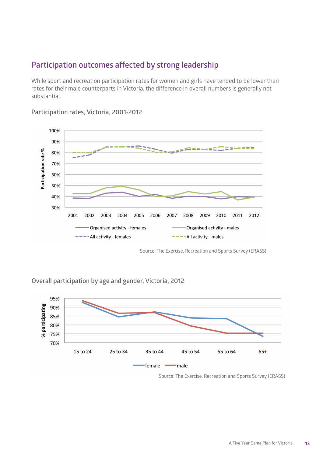#### **Participation outcomes affected by strong leadership**

While sport and recreation participation rates for women and girls have tended to be lower than rates for their male counterparts in Victoria, the difference in overall numbers is generally not substantial.



**Participation rates, Victoria, 2001-2012**

Source: The Exercise, Recreation and Sports Survey (ERASS)

**Overall participation by age and gender, Victoria, 2012**



Source: The Exercise, Recreation and Sports Survey (ERASS)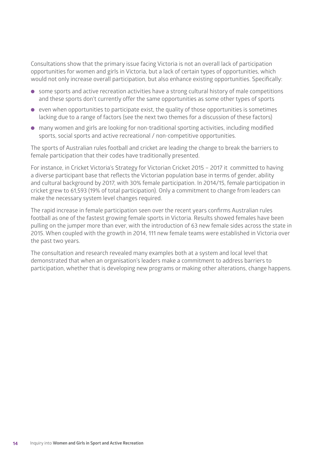Consultations show that the primary issue facing Victoria is not an overall lack of participation opportunities for women and girls in Victoria, but a lack of certain types of opportunities, which would not only increase overall participation, but also enhance existing opportunities. Specifically:

- some sports and active recreation activities have a strong cultural history of male competitions and these sports don't currently offer the same opportunities as some other types of sports
- $\bullet$  even when opportunities to participate exist, the quality of those opportunities is sometimes lacking due to a range of factors (see the next two themes for a discussion of these factors)
- $\bullet$  many women and girls are looking for non-traditional sporting activities, including modified sports, social sports and active recreational / non-competitive opportunities.

The sports of Australian rules football and cricket are leading the change to break the barriers to female participation that their codes have traditionally presented.

For instance, in Cricket Victoria's Strategy for Victorian Cricket 2015 – 2017 it committed to having a diverse participant base that reflects the Victorian population base in terms of gender, ability and cultural background by 2017, with 30% female participation. In 2014/15, female participation in cricket grew to 61,593 (19% of total participation). Only a commitment to change from leaders can make the necessary system level changes required.

The rapid increase in female participation seen over the recent years confirms Australian rules football as one of the fastest growing female sports in Victoria. Results showed females have been pulling on the jumper more than ever, with the introduction of 63 new female sides across the state in 2015. When coupled with the growth in 2014, 111 new female teams were established in Victoria over the past two years.

The consultation and research revealed many examples both at a system and local level that demonstrated that when an organisation's leaders make a commitment to address barriers to participation, whether that is developing new programs or making other alterations, change happens.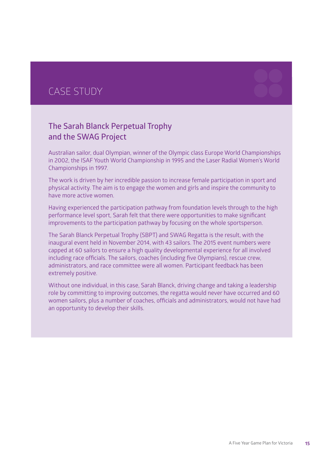### CASE STUDY

### **The Sarah Blanck Perpetual Trophy and the SWAG Project**

Australian sailor, dual Olympian, winner of the Olympic class Europe World Championships in 2002, the ISAF Youth World Championship in 1995 and the Laser Radial Women's World Championships in 1997.

The work is driven by her incredible passion to increase female participation in sport and physical activity. The aim is to engage the women and girls and inspire the community to have more active women.

Having experienced the participation pathway from foundation levels through to the high performance level sport, Sarah felt that there were opportunities to make significant improvements to the participation pathway by focusing on the whole sportsperson.

The Sarah Blanck Perpetual Trophy (SBPT) and SWAG Regatta is the result, with the inaugural event held in November 2014, with 43 sailors. The 2015 event numbers were capped at 60 sailors to ensure a high quality developmental experience for all involved including race officials. The sailors, coaches (including five Olympians), rescue crew, administrators, and race committee were all women. Participant feedback has been extremely positive.

Without one individual, in this case, Sarah Blanck, driving change and taking a leadership role by committing to improving outcomes, the regatta would never have occurred and 60 women sailors, plus a number of coaches, officials and administrators, would not have had an opportunity to develop their skills.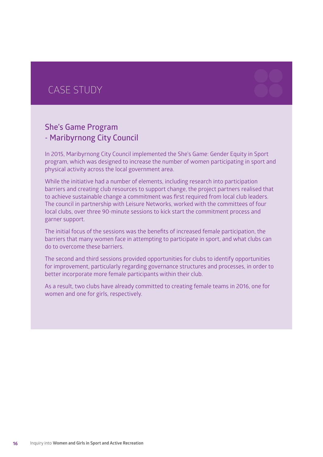### CASE STUDY

#### **She's Game Program - Maribyrnong City Council**

In 2015, Maribyrnong City Council implemented the She's Game: Gender Equity in Sport program, which was designed to increase the number of women participating in sport and physical activity across the local government area.

While the initiative had a number of elements, including research into participation barriers and creating club resources to support change, the project partners realised that to achieve sustainable change a commitment was first required from local club leaders. The council in partnership with Leisure Networks, worked with the committees of four local clubs, over three 90-minute sessions to kick start the commitment process and garner support.

The initial focus of the sessions was the benefits of increased female participation, the barriers that many women face in attempting to participate in sport, and what clubs can do to overcome these barriers.

The second and third sessions provided opportunities for clubs to identify opportunities for improvement, particularly regarding governance structures and processes, in order to better incorporate more female participants within their club.

As a result, two clubs have already committed to creating female teams in 2016, one for women and one for girls, respectively.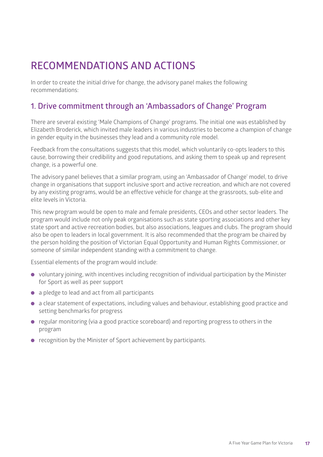## **RECOMMENDATIONS AND ACTIONS**

In order to create the initial drive for change, the advisory panel makes the following recommendations:

#### **1. Drive commitment through an 'Ambassadors of Change' Program**

There are several existing 'Male Champions of Change' programs. The initial one was established by Elizabeth Broderick, which invited male leaders in various industries to become a champion of change in gender equity in the businesses they lead and a community role model.

Feedback from the consultations suggests that this model, which voluntarily co-opts leaders to this cause, borrowing their credibility and good reputations, and asking them to speak up and represent change, is a powerful one.

The advisory panel believes that a similar program, using an 'Ambassador of Change' model, to drive change in organisations that support inclusive sport and active recreation, and which are not covered by any existing programs, would be an effective vehicle for change at the grassroots, sub-elite and elite levels in Victoria.

This new program would be open to male and female presidents, CEOs and other sector leaders. The program would include not only peak organisations such as state sporting associations and other key state sport and active recreation bodies, but also associations, leagues and clubs. The program should also be open to leaders in local government. It is also recommended that the program be chaired by the person holding the position of Victorian Equal Opportunity and Human Rights Commissioner, or someone of similar independent standing with a commitment to change.

Essential elements of the program would include:

- voluntary joining, with incentives including recognition of individual participation by the Minister for Sport as well as peer support
- a pledge to lead and act from all participants
- a clear statement of expectations, including values and behaviour, establishing good practice and setting benchmarks for progress
- regular monitoring (via a good practice scoreboard) and reporting progress to others in the program
- **.** recognition by the Minister of Sport achievement by participants.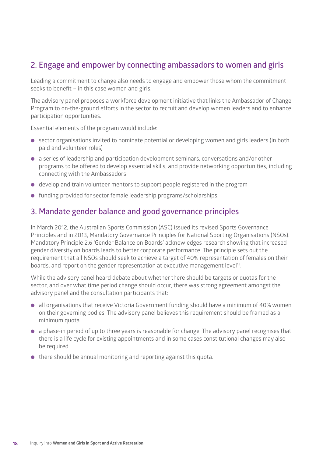#### **2. Engage and empower by connecting ambassadors to women and girls**

Leading a commitment to change also needs to engage and empower those whom the commitment seeks to benefit – in this case women and girls.

The advisory panel proposes a workforce development initiative that links the Ambassador of Change Program to on-the-ground efforts in the sector to recruit and develop women leaders and to enhance participation opportunities.

Essential elements of the program would include:

- sector organisations invited to nominate potential or developing women and girls leaders (in both paid and volunteer roles)
- l a series of leadership and participation development seminars, conversations and/or other programs to be offered to develop essential skills, and provide networking opportunities, including connecting with the Ambassadors
- $\bullet$  develop and train volunteer mentors to support people registered in the program
- **.** funding provided for sector female leadership programs/scholarships.

#### **3. Mandate gender balance and good governance principles**

In March 2012, the Australian Sports Commission (ASC) issued its revised Sports Governance Principles and in 2013, Mandatory Governance Principles for National Sporting Organisations (NSOs). Mandatory Principle 2.6 'Gender Balance on Boards' acknowledges research showing that increased gender diversity on boards leads to better corporate performance. The principle sets out the requirement that all NSOs should seek to achieve a target of 40% representation of females on their boards, and report on the gender representation at executive management level12.

While the advisory panel heard debate about whether there should be targets or quotas for the sector, and over what time period change should occur, there was strong agreement amongst the advisory panel and the consultation participants that:

- all organisations that receive Victoria Government funding should have a minimum of 40% women on their governing bodies. The advisory panel believes this requirement should be framed as a minimum quota
- l a phase-in period of up to three years is reasonable for change. The advisory panel recognises that there is a life cycle for existing appointments and in some cases constitutional changes may also be required
- $\bullet$  there should be annual monitoring and reporting against this quota.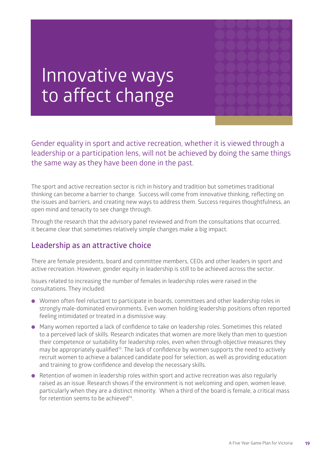

# Innovative ways to affect change

Gender equality in sport and active recreation, whether it is viewed through a leadership or a participation lens, will not be achieved by doing the same things the same way as they have been done in the past.

The sport and active recreation sector is rich in history and tradition but sometimes traditional thinking can become a barrier to change. Success will come from innovative thinking, reflecting on the issues and barriers, and creating new ways to address them. Success requires thoughtfulness, an open mind and tenacity to see change through.

Through the research that the advisory panel reviewed and from the consultations that occurred, it became clear that sometimes relatively simple changes make a big impact.

#### **Leadership as an attractive choice**

There are female presidents, board and committee members, CEOs and other leaders in sport and active recreation. However, gender equity in leadership is still to be achieved across the sector.

Issues related to increasing the number of females in leadership roles were raised in the consultations. They included:

- **.** Women often feel reluctant to participate in boards, committees and other leadership roles in strongly male-dominated environments. Even women holding leadership positions often reported feeling intimidated or treated in a dismissive way.
- **.** Many women reported a lack of confidence to take on leadership roles. Sometimes this related to a perceived lack of skills. Research indicates that women are more likely than men to question their competence or suitability for leadership roles, even when through objective measures they may be appropriately qualified<sup>13</sup>. The lack of confidence by women supports the need to actively recruit women to achieve a balanced candidate pool for selection, as well as providing education and training to grow confidence and develop the necessary skills.
- Retention of women in leadership roles within sport and active recreation was also regularly raised as an issue. Research shows if the environment is not welcoming and open, women leave, particularly when they are a distinct minority. When a third of the board is female, a critical mass for retention seems to be achieved $14$ .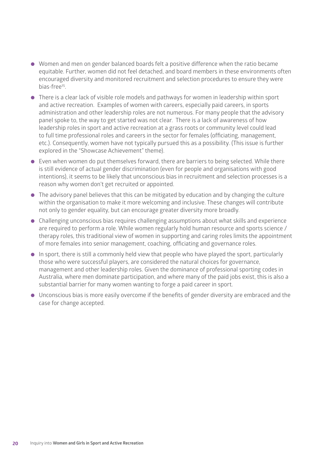- Women and men on gender balanced boards felt a positive difference when the ratio became equitable. Further, women did not feel detached, and board members in these environments often encouraged diversity and monitored recruitment and selection procedures to ensure they were bias-free<sup>15</sup>
- **.** There is a clear lack of visible role models and pathways for women in leadership within sport and active recreation. Examples of women with careers, especially paid careers, in sports administration and other leadership roles are not numerous. For many people that the advisory panel spoke to, the way to get started was not clear. There is a lack of awareness of how leadership roles in sport and active recreation at a grass roots or community level could lead to full time professional roles and careers in the sector for females (officiating, management, etc.). Consequently, women have not typically pursued this as a possibility. (This issue is further explored in the "Showcase Achievement" theme).
- $\bullet$  Even when women do put themselves forward, there are barriers to being selected. While there is still evidence of actual gender discrimination (even for people and organisations with good intentions), it seems to be likely that unconscious bias in recruitment and selection processes is a reason why women don't get recruited or appointed.
- $\bullet$  The advisory panel believes that this can be mitigated by education and by changing the culture within the organisation to make it more welcoming and inclusive. These changes will contribute not only to gender equality, but can encourage greater diversity more broadly.
- Challenging unconscious bias requires challenging assumptions about what skills and experience are required to perform a role. While women regularly hold human resource and sports science / therapy roles, this traditional view of women in supporting and caring roles limits the appointment of more females into senior management, coaching, officiating and governance roles.
- $\bullet$  In sport, there is still a commonly held view that people who have played the sport, particularly those who were successful players, are considered the natural choices for governance, management and other leadership roles. Given the dominance of professional sporting codes in Australia, where men dominate participation, and where many of the paid jobs exist, this is also a substantial barrier for many women wanting to forge a paid career in sport.
- **I** Unconscious bias is more easily overcome if the benefits of gender diversity are embraced and the case for change accepted.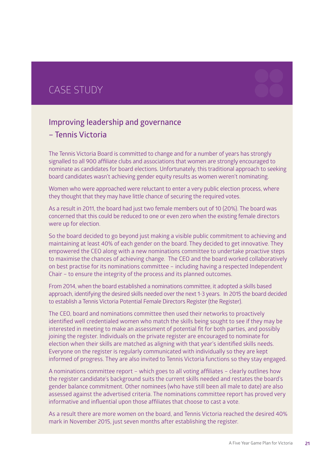### CASE STUDY



The Tennis Victoria Board is committed to change and for a number of years has strongly signalled to all 900 affiliate clubs and associations that women are strongly encouraged to nominate as candidates for board elections. Unfortunately, this traditional approach to seeking board candidates wasn't achieving gender equity results as women weren't nominating.

Women who were approached were reluctant to enter a very public election process, where they thought that they may have little chance of securing the required votes.

As a result in 2011, the board had just two female members out of 10 (20%). The board was concerned that this could be reduced to one or even zero when the existing female directors were up for election.

So the board decided to go beyond just making a visible public commitment to achieving and maintaining at least 40% of each gender on the board. They decided to get innovative. They empowered the CEO along with a new nominations committee to undertake proactive steps to maximise the chances of achieving change. The CEO and the board worked collaboratively on best practise for its nominations committee – including having a respected Independent Chair – to ensure the integrity of the process and its planned outcomes.

From 2014, when the board established a nominations committee, it adopted a skills based approach, identifying the desired skills needed over the next 1-3 years. In 2015 the board decided to establish a Tennis Victoria Potential Female Directors Register (the Register).

The CEO, board and nominations committee then used their networks to proactively identified well credentialed women who match the skills being sought to see if they may be interested in meeting to make an assessment of potential fit for both parties, and possibly joining the register. Individuals on the private register are encouraged to nominate for election when their skills are matched as aligning with that year's identified skills needs. Everyone on the register is regularly communicated with individually so they are kept informed of progress. They are also invited to Tennis Victoria functions so they stay engaged.

A nominations committee report – which goes to all voting affiliates – clearly outlines how the register candidate's background suits the current skills needed and restates the board's gender balance commitment. Other nominees (who have still been all male to date) are also assessed against the advertised criteria. The nominations committee report has proved very informative and influential upon those affiliates that choose to cast a vote.

As a result there are more women on the board, and Tennis Victoria reached the desired 40% mark in November 2015, just seven months after establishing the register.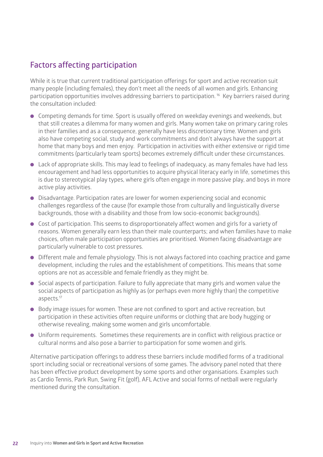#### **Factors affecting participation**

While it is true that current traditional participation offerings for sport and active recreation suit many people (including females), they don't meet all the needs of all women and girls. Enhancing participation opportunities involves addressing barriers to participation. 16 Key barriers raised during the consultation included:

- **.** Competing demands for time. Sport is usually offered on weekday evenings and weekends, but that still creates a dilemma for many women and girls. Many women take on primary caring roles in their families and as a consequence, generally have less discretionary time. Women and girls also have competing social, study and work commitments and don't always have the support at home that many boys and men enjoy. Participation in activities with either extensive or rigid time commitments (particularly team sports) becomes extremely difficult under these circumstances.
- Lack of appropriate skills. This may lead to feelings of inadequacy, as many females have had less encouragement and had less opportunities to acquire physical literacy early in life, sometimes this is due to stereotypical play types, where girls often engage in more passive play, and boys in more active play activities.
- **•** Disadvantage. Participation rates are lower for women experiencing social and economic challenges regardless of the cause (for example those from culturally and linguistically diverse backgrounds, those with a disability and those from low socio-economic backgrounds).
- **.** Cost of participation. This seems to disproportionately affect women and girls for a variety of reasons. Women generally earn less than their male counterparts; and when families have to make choices, often male participation opportunities are prioritised. Women facing disadvantage are particularly vulnerable to cost pressures.
- **.** Different male and female physiology. This is not always factored into coaching practice and game development, including the rules and the establishment of competitions. This means that some options are not as accessible and female friendly as they might be.
- Social aspects of participation. Failure to fully appreciate that many girls and women value the social aspects of participation as highly as (or perhaps even more highly than) the competitive aspects.17
- $\bullet$  Body image issues for women. These are not confined to sport and active recreation, but participation in these activities often require uniforms or clothing that are body hugging or otherwise revealing, making some women and girls uncomfortable.
- **.** Uniform requirements. Sometimes these requirements are in conflict with religious practice or cultural norms and also pose a barrier to participation for some women and girls.

Alternative participation offerings to address these barriers include modified forms of a traditional sport including social or recreational versions of some games. The advisory panel noted that there has been effective product development by some sports and other organisations. Examples such as Cardio Tennis, Park Run, Swing Fit (golf), AFL Active and social forms of netball were regularly mentioned during the consultation.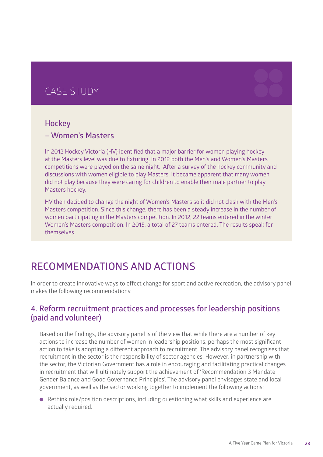### CASE STUDY



#### **– Women's Masters**

In 2012 Hockey Victoria (HV) identified that a major barrier for women playing hockey at the Masters level was due to fixturing. In 2012 both the Men's and Women's Masters competitions were played on the same night. After a survey of the hockey community and discussions with women eligible to play Masters, it became apparent that many women did not play because they were caring for children to enable their male partner to play Masters hockey.

HV then decided to change the night of Women's Masters so it did not clash with the Men's Masters competition. Since this change, there has been a steady increase in the number of women participating in the Masters competition. In 2012, 22 teams entered in the winter Women's Masters competition. In 2015, a total of 27 teams entered. The results speak for themselves.

### **RECOMMENDATIONS AND ACTIONS**

In order to create innovative ways to effect change for sport and active recreation, the advisory panel makes the following recommendations:

#### **4. Reform recruitment practices and processes for leadership positions (paid and volunteer)**

Based on the findings, the advisory panel is of the view that while there are a number of key actions to increase the number of women in leadership positions, perhaps the most significant action to take is adopting a different approach to recruitment. The advisory panel recognises that recruitment in the sector is the responsibility of sector agencies. However, in partnership with the sector, the Victorian Government has a role in encouraging and facilitating practical changes in recruitment that will ultimately support the achievement of 'Recommendation 3 Mandate Gender Balance and Good Governance Principles'. The advisory panel envisages state and local government, as well as the sector working together to implement the following actions:

**.** Rethink role/position descriptions, including questioning what skills and experience are actually required.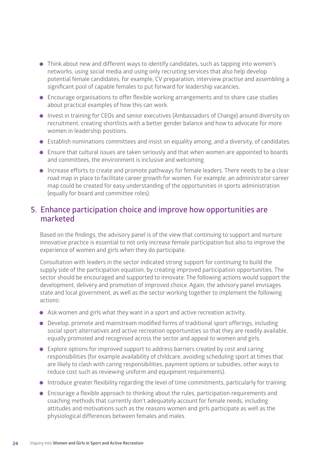- Think about new and different ways to identify candidates, such as tapping into women's networks, using social media and using only recruiting services that also help develop potential female candidates, for example, CV preparation, interview practise and assembling a significant pool of capable females to put forward for leadership vacancies.
- **.** Encourage organisations to offer flexible working arrangements and to share case studies about practical examples of how this can work.
- **.** Invest in training for CEOs and senior executives (Ambassadors of Change) around diversity on recruitment, creating shortlists with a better gender balance and how to advocate for more women in leadership positions.
- **.** Establish nominations committees and insist on equality among, and a diversity, of candidates.
- l Ensure that cultural issues are taken seriously and that when women are appointed to boards and committees, the environment is inclusive and welcoming.
- **.** Increase efforts to create and promote pathways for female leaders. There needs to be a clear road map in place to facilitate career growth for women. For example, an administrator career map could be created for easy understanding of the opportunities in sports administration (equally for board and committee roles).

#### **5. Enhance participation choice and improve how opportunities are marketed**

Based on the findings, the advisory panel is of the view that continuing to support and nurture innovative practice is essential to not only increase female participation but also to improve the experience of women and girls when they do participate.

Consultation with leaders in the sector indicated strong support for continuing to build the supply side of the participation equation, by creating improved participation opportunities. The sector should be encouraged and supported to innovate. The following actions would support the development, delivery and promotion of improved choice. Again, the advisory panel envisages state and local government, as well as the sector working together to implement the following actions:

- **•** Ask women and girls what they want in a sport and active recreation activity.
- **.** Develop, promote and mainstream modified forms of traditional sport offerings, including social sport alternatives and active recreation opportunities so that they are readily available, equally promoted and recognised across the sector and appeal to women and girls.
- Explore options for improved support to address barriers created by cost and caring responsibilities (for example availability of childcare, avoiding scheduling sport at times that are likely to clash with caring responsibilities, payment options or subsidies, other ways to reduce cost such as reviewing uniform and equipment requirements).
- **.** Introduce greater flexibility regarding the level of time commitments, particularly for training.
- **.** Encourage a flexible approach to thinking about the rules, participation requirements and coaching methods that currently don't adequately account for female needs, including attitudes and motivations such as the reasons women and girls participate as well as the physiological differences between females and males.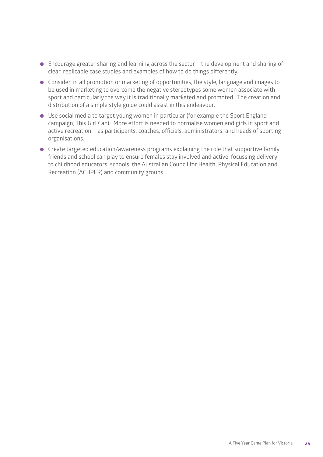- $\bullet$  Encourage greater sharing and learning across the sector the development and sharing of clear, replicable case studies and examples of how to do things differently.
- **.** Consider, in all promotion or marketing of opportunities, the style, language and images to be used in marketing to overcome the negative stereotypes some women associate with sport and particularly the way it is traditionally marketed and promoted. The creation and distribution of a simple style guide could assist in this endeavour.
- **.** Use social media to target young women in particular (for example the Sport England campaign, This Girl Can). More effort is needed to normalise women and girls in sport and active recreation – as participants, coaches, officials, administrators, and heads of sporting organisations.
- **.** Create targeted education/awareness programs explaining the role that supportive family, friends and school can play to ensure females stay involved and active, focussing delivery to childhood educators, schools, the Australian Council for Health, Physical Education and Recreation (ACHPER) and community groups.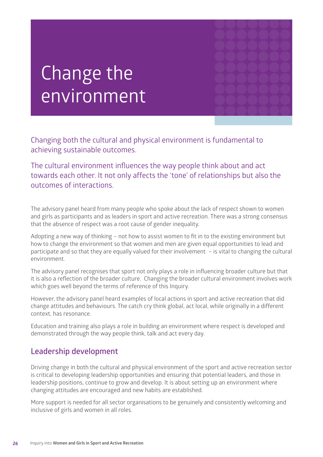# Change the environment

Changing both the cultural and physical environment is fundamental to achieving sustainable outcomes.

#### The cultural environment influences the way people think about and act towards each other. It not only affects the 'tone' of relationships but also the outcomes of interactions.

The advisory panel heard from many people who spoke about the lack of respect shown to women and girls as participants and as leaders in sport and active recreation. There was a strong consensus that the absence of respect was a root cause of gender inequality.

Adopting a new way of thinking – not how to assist women to fit in to the existing environment but how to change the environment so that women and men are given equal opportunities to lead and participate and so that they are equally valued for their involvement – is vital to changing the cultural environment.

The advisory panel recognises that sport not only plays a role in influencing broader culture but that it is also a reflection of the broader culture. Changing the broader cultural environment involves work which goes well beyond the terms of reference of this Inquiry.

However, the advisory panel heard examples of local actions in sport and active recreation that did change attitudes and behaviours. The catch cry think global, act local, while originally in a different context, has resonance.

Education and training also plays a role in building an environment where respect is developed and demonstrated through the way people think, talk and act every day.

#### **Leadership development**

Driving change in both the cultural and physical environment of the sport and active recreation sector is critical to developing leadership opportunities and ensuring that potential leaders, and those in leadership positions, continue to grow and develop. It is about setting up an environment where changing attitudes are encouraged and new habits are established.

More support is needed for all sector organisations to be genuinely and consistently welcoming and inclusive of girls and women in all roles.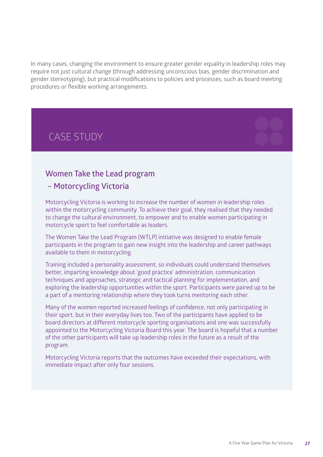In many cases, changing the environment to ensure greater gender equality in leadership roles may require not just cultural change (through addressing unconscious bias, gender discrimination and gender stereotyping), but practical modifications to policies and processes, such as board meeting procedures or flexible working arrangements.

### CASE STUDY

#### **Women Take the Lead program**

#### **– Motorcycling Victoria**

Motorcycling Victoria is working to increase the number of women in leadership roles within the motorcycling community. To achieve their goal, they realised that they needed to change the cultural environment, to empower and to enable women participating in motorcycle sport to feel comfortable as leaders.

The Women Take the Lead Program (WTLP) initiative was designed to enable female participants in the program to gain new insight into the leadership and career pathways available to them in motorcycling.

Training included a personality assessment, so individuals could understand themselves better, imparting knowledge about 'good practice' administration, communication techniques and approaches, strategic and tactical planning for implementation, and exploring the leadership opportunities within the sport. Participants were paired up to be a part of a mentoring relationship where they took turns mentoring each other.

Many of the women reported increased feelings of confidence, not only participating in their sport, but in their everyday lives too. Two of the participants have applied to be board directors at different motorcycle sporting organisations and one was successfully appointed to the Motorcycling Victoria Board this year. The board is hopeful that a number of the other participants will take up leadership roles in the future as a result of the program.

Motorcycling Victoria reports that the outcomes have exceeded their expectations, with immediate impact after only four sessions.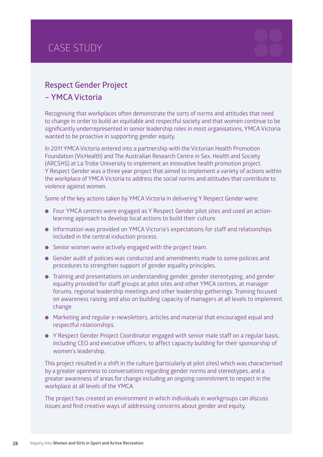### CASE STUDY

#### **Respect Gender Project – YMCA Victoria**

Recognising that workplaces often demonstrate the sorts of norms and attitudes that need to change in order to build an equitable and respectful society and that women continue to be significantly underrepresented in senior leadership roles in most organisations, YMCA Victoria wanted to be proactive in supporting gender equity.

In 2011 YMCA Victoria entered into a partnership with the Victorian Health Promotion Foundation (VicHealth) and The Australian Research Centre in Sex, Health and Society (ARCSHS) at La Trobe University to implement an innovative health promotion project. Y Respect Gender was a three year project that aimed to implement a variety of actions within the workplace of YMCA Victoria to address the social norms and attitudes that contribute to violence against women.

Some of the key actions taken by YMCA Victoria in delivering Y Respect Gender were:

- Four YMCA centres were engaged as Y Respect Gender pilot sites and used an actionlearning approach to develop local actions to build their culture.
- **.** Information was provided on YMCA Victoria's expectations for staff and relationships included in the central induction process.
- **.** Senior women were actively engaged with the project team.
- **.** Gender audit of policies was conducted and amendments made to some policies and procedures to strengthen support of gender equality principles.
- Training and presentations on understanding gender, gender stereotyping, and gender equality provided for staff groups at pilot sites and other YMCA centres, at manager forums, regional leadership meetings and other leadership gatherings. Training focused on awareness raising and also on building capacity of managers at all levels to implement change.
- Marketing and regular e-newsletters, articles and material that encouraged equal and respectful relationships.
- **Y Respect Gender Project Coordinator engaged with senior male staff on a regular basis,** including CEO and executive officers, to affect capacity building for their sponsorship of women's leadership.

This project resulted in a shift in the culture (particularly at pilot sites) which was characterised by a greater openness to conversations regarding gender norms and stereotypes, and a greater awareness of areas for change including an ongoing commitment to respect in the workplace at all levels of the YMCA.

The project has created an environment in which individuals in workgroups can discuss issues and find creative ways of addressing concerns about gender and equity.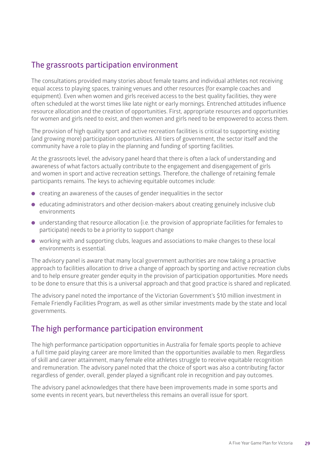#### **The grassroots participation environment**

The consultations provided many stories about female teams and individual athletes not receiving equal access to playing spaces, training venues and other resources (for example coaches and equipment). Even when women and girls received access to the best quality facilities, they were often scheduled at the worst times like late night or early mornings. Entrenched attitudes influence resource allocation and the creation of opportunities. First, appropriate resources and opportunities for women and girls need to exist, and then women and girls need to be empowered to access them.

The provision of high quality sport and active recreation facilities is critical to supporting existing (and growing more) participation opportunities. All tiers of government, the sector itself and the community have a role to play in the planning and funding of sporting facilities.

At the grassroots level, the advisory panel heard that there is often a lack of understanding and awareness of what factors actually contribute to the engagement and disengagement of girls and women in sport and active recreation settings. Therefore, the challenge of retaining female participants remains. The keys to achieving equitable outcomes include:

- $\bullet$  creating an awareness of the causes of gender inequalities in the sector
- educating administrators and other decision-makers about creating genuinely inclusive club environments
- **.** understanding that resource allocation (i.e. the provision of appropriate facilities for females to participate) needs to be a priority to support change
- **.** working with and supporting clubs, leagues and associations to make changes to these local environments is essential.

The advisory panel is aware that many local government authorities are now taking a proactive approach to facilities allocation to drive a change of approach by sporting and active recreation clubs and to help ensure greater gender equity in the provision of participation opportunities. More needs to be done to ensure that this is a universal approach and that good practice is shared and replicated.

The advisory panel noted the importance of the Victorian Government's \$10 million investment in Female Friendly Facilities Program, as well as other similar investments made by the state and local governments.

#### **The high performance participation environment**

The high performance participation opportunities in Australia for female sports people to achieve a full time paid playing career are more limited than the opportunities available to men. Regardless of skill and career attainment, many female elite athletes struggle to receive equitable recognition and remuneration. The advisory panel noted that the choice of sport was also a contributing factor regardless of gender, overall, gender played a significant role in recognition and pay outcomes.

The advisory panel acknowledges that there have been improvements made in some sports and some events in recent years, but nevertheless this remains an overall issue for sport.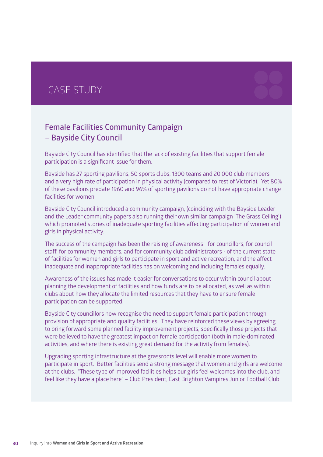### CASE STUDY

#### **Female Facilities Community Campaign – Bayside City Council**

Bayside City Council has identified that the lack of existing facilities that support female participation is a significant issue for them.

Bayside has 27 sporting pavilions, 50 sports clubs, 1300 teams and 20,000 club members – and a very high rate of participation in physical activity (compared to rest of Victoria). Yet 80% of these pavilions predate 1960 and 96% of sporting pavilions do not have appropriate change facilities for women.

Bayside City Council introduced a community campaign, (coinciding with the Bayside Leader and the Leader community papers also running their own similar campaign 'The Grass Ceiling') which promoted stories of inadequate sporting facilities affecting participation of women and girls in physical activity.

The success of the campaign has been the raising of awareness - for councillors, for council staff, for community members, and for community club administrators - of the current state of facilities for women and girls to participate in sport and active recreation, and the affect inadequate and inappropriate facilities has on welcoming and including females equally.

Awareness of the issues has made it easier for conversations to occur within council about planning the development of facilities and how funds are to be allocated, as well as within clubs about how they allocate the limited resources that they have to ensure female participation can be supported.

Bayside City councillors now recognise the need to support female participation through provision of appropriate and quality facilities. They have reinforced these views by agreeing to bring forward some planned facility improvement projects, specifically those projects that were believed to have the greatest impact on female participation (both in male-dominated activities, and where there is existing great demand for the activity from females).

Upgrading sporting infrastructure at the grassroots level will enable more women to participate in sport. Better facilities send a strong message that women and girls are welcome at the clubs. "These type of improved facilities helps our girls feel welcomes into the club, and feel like they have a place here" – Club President, East Brighton Vampires Junior Football Club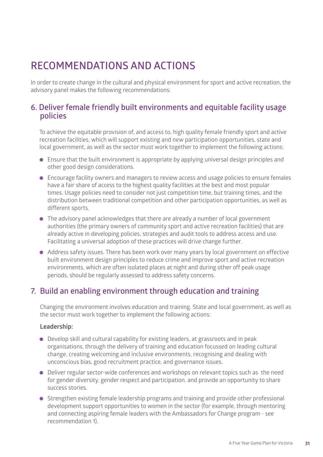## **RECOMMENDATIONS AND ACTIONS**

In order to create change in the cultural and physical environment for sport and active recreation, the advisory panel makes the following recommendations:

#### **6. Deliver female friendly built environments and equitable facility usage policies**

To achieve the equitable provision of, and access to, high quality female friendly sport and active recreation facilities, which will support existing and new participation opportunities, state and local government, as well as the sector must work together to implement the following actions:

- $\bullet$  Ensure that the built environment is appropriate by applying universal design principles and other good design considerations.
- **.** Encourage facility owners and managers to review access and usage policies to ensure females have a fair share of access to the highest quality facilities at the best and most popular times. Usage policies need to consider not just competition time, but training times, and the distribution between traditional competition and other participation opportunities, as well as different sports.
- $\bullet$  The advisory panel acknowledges that there are already a number of local government authorities (the primary owners of community sport and active recreation facilities) that are already active in developing policies, strategies and audit tools to address access and use. Facilitating a universal adoption of these practices will drive change further.
- Address safety issues. There has been work over many years by local government on effective built environment design principles to reduce crime and improve sport and active recreation environments, which are often isolated places at night and during other off peak usage periods, should be regularly assessed to address safety concerns.

#### **7. Build an enabling environment through education and training**

Changing the environment involves education and training. State and local government, as well as the sector must work together to implement the following actions:

#### **Leadership:**

- **.** Develop skill and cultural capability for existing leaders, at grassroots and in peak organisations, through the delivery of training and education focussed on leading cultural change, creating welcoming and inclusive environments, recognising and dealing with unconscious bias, good recruitment practice, and governance issues.
- l Deliver regular sector-wide conferences and workshops on relevant topics such as the need for gender diversity, gender respect and participation, and provide an opportunity to share success stories.
- **•** Strengthen existing female leadership programs and training and provide other professional development support opportunities to women in the sector (for example, through mentoring and connecting aspiring female leaders with the Ambassadors for Change program - see recommendation 1).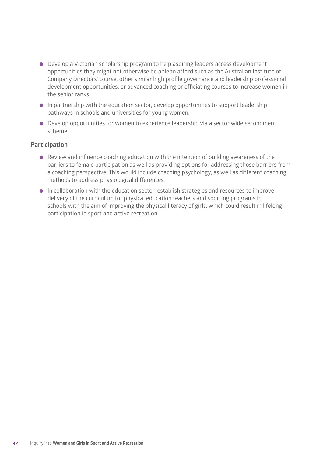- Develop a Victorian scholarship program to help aspiring leaders access development opportunities they might not otherwise be able to afford such as the Australian Institute of Company Directors' course, other similar high profile governance and leadership professional development opportunities, or advanced coaching or officiating courses to increase women in the senior ranks.
- $\bullet$  In partnership with the education sector, develop opportunities to support leadership pathways in schools and universities for young women.
- **•** Develop opportunities for women to experience leadership via a sector wide secondment scheme.

#### **Participation**

- $\bullet$  Review and influence coaching education with the intention of building awareness of the barriers to female participation as well as providing options for addressing those barriers from a coaching perspective. This would include coaching psychology, as well as different coaching methods to address physiological differences.
- **.** In collaboration with the education sector, establish strategies and resources to improve delivery of the curriculum for physical education teachers and sporting programs in schools with the aim of improving the physical literacy of girls, which could result in lifelong participation in sport and active recreation.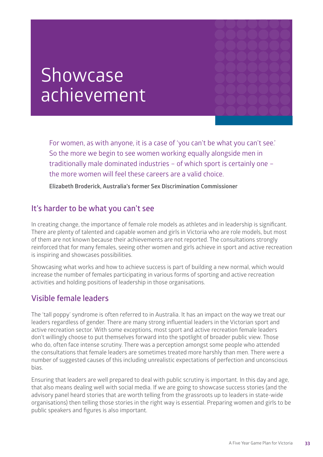# Showcase achievement

For women, as with anyone, it is a case of 'you can't be what you can't see.' So the more we begin to see women working equally alongside men in traditionally male dominated industries – of which sport is certainly one – the more women will feel these careers are a valid choice.

**Elizabeth Broderick, Australia's former Sex Discrimination Commissioner**

#### **It's harder to be what you can't see**

In creating change, the importance of female role models as athletes and in leadership is significant. There are plenty of talented and capable women and girls in Victoria who are role models, but most of them are not known because their achievements are not reported. The consultations strongly reinforced that for many females, seeing other women and girls achieve in sport and active recreation is inspiring and showcases possibilities.

Showcasing what works and how to achieve success is part of building a new normal, which would increase the number of females participating in various forms of sporting and active recreation activities and holding positions of leadership in those organisations.

#### **Visible female leaders**

The 'tall poppy' syndrome is often referred to in Australia. It has an impact on the way we treat our leaders regardless of gender. There are many strong influential leaders in the Victorian sport and active recreation sector. With some exceptions, most sport and active recreation female leaders don't willingly choose to put themselves forward into the spotlight of broader public view. Those who do, often face intense scrutiny. There was a perception amongst some people who attended the consultations that female leaders are sometimes treated more harshly than men. There were a number of suggested causes of this including unrealistic expectations of perfection and unconscious bias.

Ensuring that leaders are well prepared to deal with public scrutiny is important. In this day and age, that also means dealing well with social media. If we are going to showcase success stories (and the advisory panel heard stories that are worth telling from the grassroots up to leaders in state-wide organisations) then telling those stories in the right way is essential. Preparing women and girls to be public speakers and figures is also important.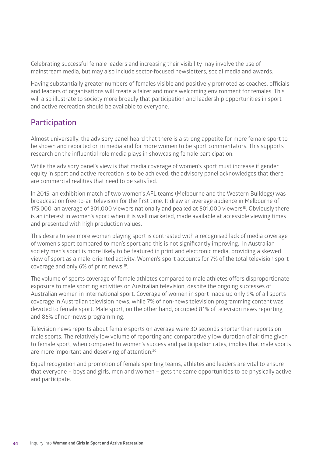Celebrating successful female leaders and increasing their visibility may involve the use of mainstream media, but may also include sector-focused newsletters, social media and awards.

Having substantially greater numbers of females visible and positively promoted as coaches, officials and leaders of organisations will create a fairer and more welcoming environment for females. This will also illustrate to society more broadly that participation and leadership opportunities in sport and active recreation should be available to everyone.

#### **Participation**

Almost universally, the advisory panel heard that there is a strong appetite for more female sport to be shown and reported on in media and for more women to be sport commentators. This supports research on the influential role media plays in showcasing female participation.

While the advisory panel's view is that media coverage of women's sport must increase if gender equity in sport and active recreation is to be achieved, the advisory panel acknowledges that there are commercial realities that need to be satisfied.

In 2015, an exhibition match of two women's AFL teams (Melbourne and the Western Bulldogs) was broadcast on free-to-air television for the first time. It drew an average audience in Melbourne of 175,000, an average of 301,000 viewers nationally and peaked at 501,000 viewers<sup>18</sup>. Obviously there is an interest in women's sport when it is well marketed, made available at accessible viewing times and presented with high production values.

This desire to see more women playing sport is contrasted with a recognised lack of media coverage of women's sport compared to men's sport and this is not significantly improving. In Australian society men's sport is more likely to be featured in print and electronic media, providing a skewed view of sport as a male-oriented activity. Women's sport accounts for 7% of the total television sport coverage and only 6% of print news 19.

The volume of sports coverage of female athletes compared to male athletes offers disproportionate exposure to male sporting activities on Australian television, despite the ongoing successes of Australian women in international sport. Coverage of women in sport made up only 9% of all sports coverage in Australian television news, while 7% of non-news television programming content was devoted to female sport. Male sport, on the other hand, occupied 81% of television news reporting and 86% of non-news programming.

Television news reports about female sports on average were 30 seconds shorter than reports on male sports. The relatively low volume of reporting and comparatively low duration of air time given to female sport, when compared to women's success and participation rates, implies that male sports are more important and deserving of attention.<sup>20</sup>

Equal recognition and promotion of female sporting teams, athletes and leaders are vital to ensure that everyone – boys and girls, men and women – gets the same opportunities to be physically active and participate.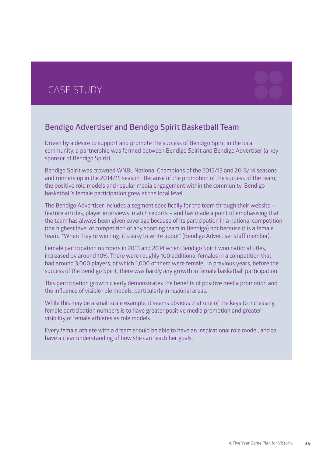### CASE STUDY



Driven by a desire to support and promote the success of Bendigo Spirit in the local community, a partnership was formed between Bendigo Spirit and Bendigo Advertiser (a key sponsor of Bendigo Spirit).

Bendigo Spirit was crowned WNBL National Champions of the 2012/13 and 2013/14 seasons and runners up in the 2014/15 season. Because of the promotion of the success of the team, the positive role models and regular media engagement within the community, Bendigo basketball's female participation grew at the local level.

The Bendigo Advertiser includes a segment specifically for the team through their website – feature articles, player interviews, match reports – and has made a point of emphasising that the team has always been given coverage because of its participation in a national competition (the highest level of competition of any sporting team in Bendigo) not because it is a female team. "When they're winning, it's easy to write about" (Bendigo Advertiser staff member).

Female participation numbers in 2013 and 2014 when Bendigo Spirit won national titles, increased by around 10%. There were roughly 100 additional females in a competition that had around 3,000 players, of which 1,000 of them were female. In previous years, before the success of the Bendigo Spirit, there was hardly any growth in female basketball participation.

This participation growth clearly demonstrates the benefits of positive media promotion and the influence of visible role models, particularly in regional areas.

While this may be a small scale example, it seems obvious that one of the keys to increasing female participation numbers is to have greater positive media promotion and greater visibility of female athletes as role models.

Every female athlete with a dream should be able to have an inspirational role model, and to have a clear understanding of how she can reach her goals.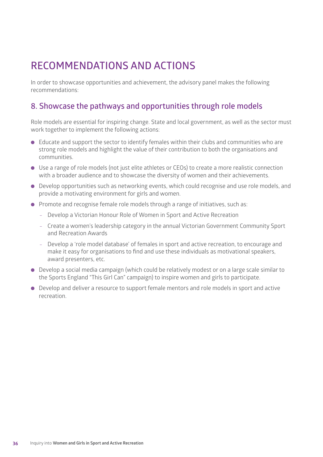## **RECOMMENDATIONS AND ACTIONS**

In order to showcase opportunities and achievement, the advisory panel makes the following recommendations:

#### **8. Showcase the pathways and opportunities through role models**

Role models are essential for inspiring change. State and local government, as well as the sector must work together to implement the following actions:

- **.** Educate and support the sector to identify females within their clubs and communities who are strong role models and highlight the value of their contribution to both the organisations and communities.
- Use a range of role models (not just elite athletes or CEOs) to create a more realistic connection with a broader audience and to showcase the diversity of women and their achievements.
- **.** Develop opportunities such as networking events, which could recognise and use role models, and provide a motivating environment for girls and women.
- **.** Promote and recognise female role models through a range of initiatives, such as:
	- Develop a Victorian Honour Role of Women in Sport and Active Recreation
	- Create a women's leadership category in the annual Victorian Government Community Sport and Recreation Awards
	- Develop a 'role model database' of females in sport and active recreation, to encourage and make it easy for organisations to find and use these individuals as motivational speakers, award presenters, etc.
- Develop a social media campaign (which could be relatively modest or on a large scale similar to the Sports England "This Girl Can" campaign) to inspire women and girls to participate.
- **•** Develop and deliver a resource to support female mentors and role models in sport and active recreation.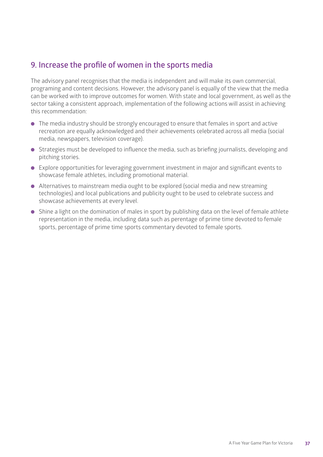#### **9. Increase the profile of women in the sports media**

The advisory panel recognises that the media is independent and will make its own commercial, programing and content decisions. However, the advisory panel is equally of the view that the media can be worked with to improve outcomes for women. With state and local government, as well as the sector taking a consistent approach, implementation of the following actions will assist in achieving this recommendation:

- The media industry should be strongly encouraged to ensure that females in sport and active recreation are equally acknowledged and their achievements celebrated across all media (social media, newspapers, television coverage).
- **.** Strategies must be developed to influence the media, such as briefing journalists, developing and pitching stories.
- Explore opportunities for leveraging government investment in major and significant events to showcase female athletes, including promotional material.
- Alternatives to mainstream media ought to be explored (social media and new streaming technologies) and local publications and publicity ought to be used to celebrate success and showcase achievements at every level.
- Shine a light on the domination of males in sport by publishing data on the level of female athlete representation in the media, including data such as perentage of prime time devoted to female sports, percentage of prime time sports commentary devoted to female sports.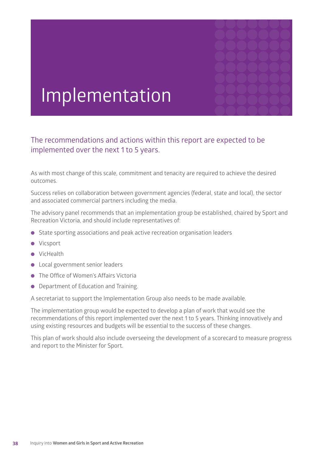

# Implementation

The recommendations and actions within this report are expected to be implemented over the next 1 to 5 years.

As with most change of this scale, commitment and tenacity are required to achieve the desired outcomes.

Success relies on collaboration between government agencies (federal, state and local), the sector and associated commercial partners including the media.

The advisory panel recommends that an implementation group be established, chaired by Sport and Recreation Victoria, and should include representatives of:

- State sporting associations and peak active recreation organisation leaders
- **·** Vicsport
- **I** VicHealth
- **.** Local government senior leaders
- The Office of Women's Affairs Victoria
- Department of Education and Training.

A secretariat to support the Implementation Group also needs to be made available.

The implementation group would be expected to develop a plan of work that would see the recommendations of this report implemented over the next 1 to 5 years. Thinking innovatively and using existing resources and budgets will be essential to the success of these changes.

This plan of work should also include overseeing the development of a scorecard to measure progress and report to the Minister for Sport.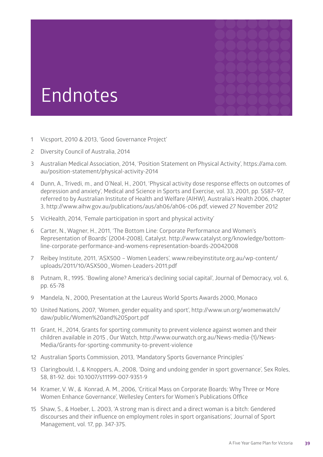# **Endnotes**

- 1 Vicsport, 2010 & 2013, 'Good Governance Project'
- 2 Diversity Council of Australia, 2014
- 3 Australian Medical Association, 2014, 'Position Statement on Physical Activity', https://ama.com. au/position-statement/physical-activity-2014
- 4 Dunn, A., Trivedi, m., and O'Neal, H., 2001, 'Physical activity dose response effects on outcomes of depression and anxiety', Medical and Science in Sports and Exercise, vol. 33, 2001, pp. S587–97, referred to by Australian Institute of Health and Welfare (AIHW), Australia's Health 2006, chapter 3, http://www.aihw.gov.au/publications/aus/ah06/ah06-c06.pdf, viewed 27 November 2012
- 5 VicHealth, 2014, 'Female participation in sport and physical activity'
- 6 Carter, N., Wagner, H., 2011, 'The Bottom Line: Corporate Performance and Women's Representation of Boards' (2004-2008), Catalyst. http://www.catalyst.org/knowledge/bottomline-corporate-performance-and-womens-representation-boards-20042008
- 7 Reibey Institute, 2011, 'ASX500 Women Leaders', www.reibeyinstitute.org.au/wp-content/ uploads/2011/10/ASX500\_Women-Leaders-2011.pdf
- 8 Putnam, R., 1995. 'Bowling alone? America's declining social capital', Journal of Democracy, vol. 6, pp. 65-78
- 9 Mandela, N., 2000, Presentation at the Laureus World Sports Awards 2000, Monaco
- 10 United Nations, 2007, 'Women, gender equality and sport', http://www.un.org/womenwatch/ daw/public/Women%20and%20Sport.pdf
- 11 Grant, H., 2014, Grants for sporting community to prevent violence against women and their children available in 2015 , Our Watch, http://www.ourwatch.org.au/News-media-(1)/News-Media/Grants-for-sporting-community-to-prevent-violence
- 12 Australian Sports Commission, 2013, 'Mandatory Sports Governance Principles'
- 13 Claringbould, I., & Knoppers, A., 2008, 'Doing and undoing gender in sport governance', Sex Roles, 58, 81-92. doi: 10.1007/s11199-007-9351-9
- 14 Kramer, V. W., & Konrad, A. M., 2006, 'Critical Mass on Corporate Boards: Why Three or More Women Enhance Governance', Wellesley Centers for Women's Publications Office
- 15 Shaw, S., & Hoeber, L. 2003, 'A strong man is direct and a direct woman is a bitch: Gendered discourses and their influence on employment roles in sport organisations', Journal of Sport Management, vol. 17, pp. 347-375.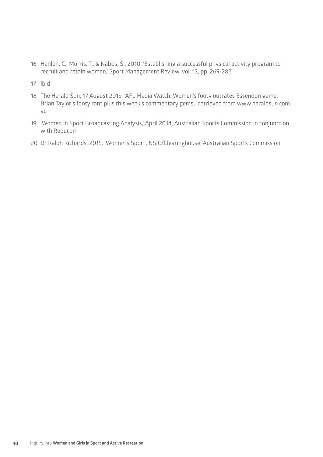- 16 Hanlon, C., Morris, T., & Nabbs, S., 2010, 'Establishing a successful physical activity program to recruit and retain women,' Sport Management Review, vol. 13, pp. 269-282
- 17 Ibid
- 18 The Herald Sun, 17 August 2015, 'AFL Media Watch: Women's footy outrates Essendon game, Brian Taylor's footy rant plus this week's commentary gems', retrieved from www.heraldsun.com. au
- 19 'Women in Sport Broadcasting Analysis,' April 2014, Australian Sports Commission in conjunction with Repucom
- 20 Dr Ralph Richards, 2015, 'Women's Sport', NSIC/Clearinghouse, Australian Sports Commission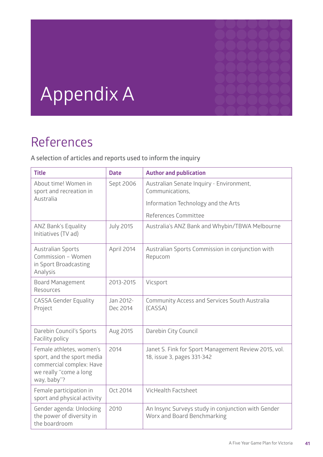

# Appendix A

# References

**A selection of articles and reports used to inform the inquiry**

| <b>Title</b>                                                                                                                | <b>Date</b>           | <b>Author and publication</b>                                                      |  |
|-----------------------------------------------------------------------------------------------------------------------------|-----------------------|------------------------------------------------------------------------------------|--|
| About time! Women in<br>sport and recreation in                                                                             | Sept 2006             | Australian Senate Inquiry - Environment,<br>Communications,                        |  |
| Australia                                                                                                                   |                       | Information Technology and the Arts                                                |  |
|                                                                                                                             |                       | References Committee                                                               |  |
| <b>ANZ Bank's Equality</b><br>Initiatives (TV ad)                                                                           | <b>July 2015</b>      | Australia's ANZ Bank and Whybin/TBWA Melbourne                                     |  |
| <b>Australian Sports</b><br>Commission - Women<br>in Sport Broadcasting<br>Analysis                                         | April 2014            | Australian Sports Commission in conjunction with<br>Repucom                        |  |
| <b>Board Management</b><br>Resources                                                                                        | 2013-2015             | Vicsport                                                                           |  |
| <b>CASSA Gender Equality</b><br>Project                                                                                     | Jan 2012-<br>Dec 2014 | Community Access and Services South Australia<br>(CASSA)                           |  |
| Darebin Council's Sports<br>Facility policy                                                                                 | Aug 2015              | Darebin City Council                                                               |  |
| Female athletes, women's<br>sport, and the sport media<br>commercial complex: Have<br>we really "come a long<br>way, baby"? | 2014                  | Janet S. Fink for Sport Management Review 2015, vol.<br>18, issue 3, pages 331-342 |  |
| Female participation in<br>sport and physical activity                                                                      | Oct 2014              | <b>VicHealth Factsheet</b>                                                         |  |
| Gender agenda: Unlocking<br>the power of diversity in<br>the boardroom                                                      | 2010                  | An Insync Surveys study in conjunction with Gender<br>Worx and Board Benchmarking  |  |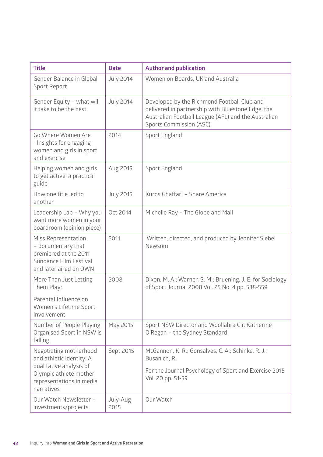| <b>Title</b>                                                                                                                                      | <b>Date</b>      | <b>Author and publication</b>                                                                                                                                                             |  |
|---------------------------------------------------------------------------------------------------------------------------------------------------|------------------|-------------------------------------------------------------------------------------------------------------------------------------------------------------------------------------------|--|
| Gender Balance in Global<br>Sport Report                                                                                                          | <b>July 2014</b> | Women on Boards, UK and Australia                                                                                                                                                         |  |
| Gender Equity - what will<br>it take to be the best                                                                                               | <b>July 2014</b> | Developed by the Richmond Football Club and<br>delivered in partnership with Bluestone Edge, the<br>Australian Football League (AFL) and the Australian<br><b>Sports Commission (ASC)</b> |  |
| Go Where Women Are<br>- Insights for engaging<br>women and girls in sport<br>and exercise                                                         | 2014             | Sport England                                                                                                                                                                             |  |
| Helping women and girls<br>to get active: a practical<br>guide                                                                                    | Aug 2015         | Sport England                                                                                                                                                                             |  |
| How one title led to<br>another                                                                                                                   | <b>July 2015</b> | Kuros Ghaffari - Share America                                                                                                                                                            |  |
| Leadership Lab - Why you<br>want more women in your<br>boardroom (opinion piece)                                                                  | Oct 2014         | Michelle Ray - The Globe and Mail                                                                                                                                                         |  |
| Miss Representation<br>- documentary that<br>premiered at the 2011<br>Sundance Film Festival<br>and later aired on OWN                            | 2011             | Written, directed, and produced by Jennifer Siebel<br>Newsom                                                                                                                              |  |
| More Than Just Letting<br>Them Play:                                                                                                              | 2008             | Dixon, M. A.; Warner, S. M.; Bruening, J. E. for Sociology<br>of Sport Journal 2008 Vol. 25 No. 4 pp. 538-559                                                                             |  |
| Parental Influence on<br>Women's Lifetime Sport<br>Involvement                                                                                    |                  |                                                                                                                                                                                           |  |
| Number of People Playing<br>Organised Sport in NSW is<br>falling                                                                                  | May 2015         | Sport NSW Director and Woollahra Clr. Katherine<br>O'Regan - the Sydney Standard                                                                                                          |  |
| Negotiating motherhood<br>and athletic identity: A<br>qualitative analysis of<br>Olympic athlete mother<br>representations in media<br>narratives | Sept 2015        | McGannon, K. R.; Gonsalves, C. A.; Schinke, R. J.;<br>Busanich, R.<br>For the Journal Psychology of Sport and Exercise 2015<br>Vol. 20 pp. 51-59                                          |  |
| Our Watch Newsletter -<br>investments/projects                                                                                                    | July-Aug<br>2015 | Our Watch                                                                                                                                                                                 |  |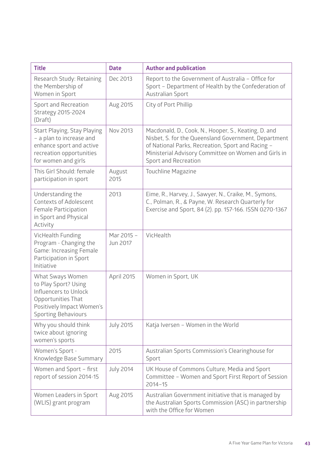| <b>Title</b>                                                                                                                                       | <b>Date</b>            | <b>Author and publication</b>                                                                                                                                                                                                                     |  |
|----------------------------------------------------------------------------------------------------------------------------------------------------|------------------------|---------------------------------------------------------------------------------------------------------------------------------------------------------------------------------------------------------------------------------------------------|--|
| Research Study: Retaining<br>the Membership of<br>Women in Sport                                                                                   | Dec 2013               | Report to the Government of Australia - Office for<br>Sport - Department of Health by the Confederation of<br><b>Australian Sport</b>                                                                                                             |  |
| Sport and Recreation<br>Strategy 2015-2024<br>(Draft)                                                                                              | Aug 2015               | City of Port Phillip                                                                                                                                                                                                                              |  |
| Start Playing, Stay Playing<br>- a plan to increase and<br>enhance sport and active<br>recreation opportunities<br>for women and girls             | Nov 2013               | Macdonald, D., Cook, N., Hooper, S., Keating, D. and<br>Nisbet, S. for the Queensland Government, Department<br>of National Parks, Recreation, Sport and Racing -<br>Ministerial Advisory Committee on Women and Girls in<br>Sport and Recreation |  |
| This Girl Should: female<br>participation in sport                                                                                                 | August<br>2015         | Touchline Magazine                                                                                                                                                                                                                                |  |
| Understanding the<br><b>Contexts of Adolescent</b><br>Female Participation<br>in Sport and Physical<br>Activity                                    | 2013                   | Eime, R., Harvey, J., Sawyer, N., Craike, M., Symons,<br>C., Polman, R., & Payne, W. Research Quarterly for<br>Exercise and Sport, 84 (2). pp. 157-166. ISSN 0270-1367                                                                            |  |
| VicHealth Funding<br>Program - Changing the<br>Game: Increasing Female<br>Participation in Sport<br>Initiative                                     | Mar 2015 -<br>Jun 2017 | VicHealth                                                                                                                                                                                                                                         |  |
| What Sways Women<br>to Play Sport? Using<br>Influencers to Unlock<br>Opportunities That<br>Positively Impact Women's<br><b>Sporting Behaviours</b> | April 2015             | Women in Sport, UK                                                                                                                                                                                                                                |  |
| Why you should think<br>twice about ignoring<br>women's sports                                                                                     | <b>July 2015</b>       | Katja Iversen - Women in the World                                                                                                                                                                                                                |  |
| Women's Sport -<br>Knowledge Base Summary                                                                                                          | 2015                   | Australian Sports Commission's Clearinghouse for<br>Sport                                                                                                                                                                                         |  |
| Women and Sport - first<br>report of session 2014-15                                                                                               | <b>July 2014</b>       | UK House of Commons Culture, Media and Sport<br>Committee - Women and Sport First Report of Session<br>$2014 - 15$                                                                                                                                |  |
| Women Leaders in Sport<br>(WLIS) grant program                                                                                                     | Aug 2015               | Australian Government initiative that is managed by<br>the Australian Sports Commission (ASC) in partnership<br>with the Office for Women                                                                                                         |  |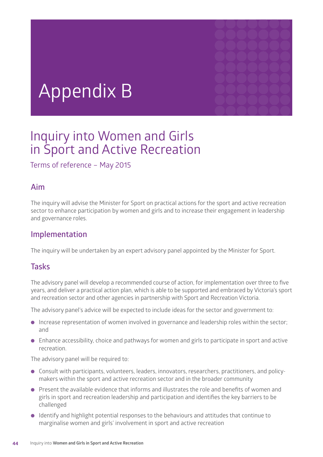# Appendix B

# Inquiry into Women and Girls in Sport and Active Recreation

Terms of reference – May 2015

#### **Aim**

The inquiry will advise the Minister for Sport on practical actions for the sport and active recreation sector to enhance participation by women and girls and to increase their engagement in leadership and governance roles.

#### **Implementation**

The inquiry will be undertaken by an expert advisory panel appointed by the Minister for Sport.

#### **Tasks**

The advisory panel will develop a recommended course of action, for implementation over three to five years, and deliver a practical action plan, which is able to be supported and embraced by Victoria's sport and recreation sector and other agencies in partnership with Sport and Recreation Victoria.

The advisory panel's advice will be expected to include ideas for the sector and government to:

- **.** Increase representation of women involved in governance and leadership roles within the sector; and
- **.** Enhance accessibility, choice and pathways for women and girls to participate in sport and active recreation.

The advisory panel will be required to:

- **•** Consult with participants, volunteers, leaders, innovators, researchers, practitioners, and policymakers within the sport and active recreation sector and in the broader community
- $\bullet$  Present the available evidence that informs and illustrates the role and benefits of women and girls in sport and recreation leadership and participation and identifies the key barriers to be challenged
- **I** Identify and highlight potential responses to the behaviours and attitudes that continue to marginalise women and girls' involvement in sport and active recreation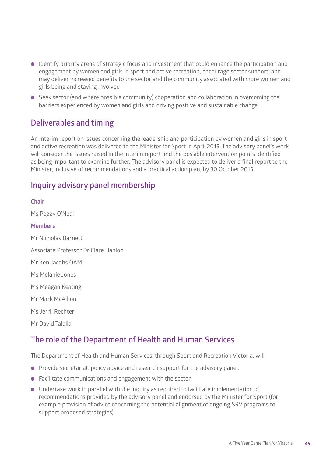- $\bullet$  Identify priority areas of strategic focus and investment that could enhance the participation and engagement by women and girls in sport and active recreation, encourage sector support, and may deliver increased benefits to the sector and the community associated with more women and girls being and staying involved
- **.** Seek sector (and where possible community) cooperation and collaboration in overcoming the barriers experienced by women and girls and driving positive and sustainable change.

#### **Deliverables and timing**

An interim report on issues concerning the leadership and participation by women and girls in sport and active recreation was delivered to the Minister for Sport in April 2015. The advisory panel's work will consider the issues raised in the interim report and the possible intervention points identified as being important to examine further. The advisory panel is expected to deliver a final report to the Minister, inclusive of recommendations and a practical action plan, by 30 October 2015.

#### **Inquiry advisory panel membership**

### **Chair** Ms Peggy O'Neal **Members** Mr Nicholas Barnett Associate Professor Dr Clare Hanlon Mr Ken Jacobs OAM Ms Melanie Jones Ms Meagan Keating Mr Mark McAllion Ms Jerril Rechter Mr David Talalla

#### **The role of the Department of Health and Human Services**

The Department of Health and Human Services, through Sport and Recreation Victoria, will:

- $\bullet$  Provide secretariat, policy advice and research support for the advisory panel.
- **•** Facilitate communications and engagement with the sector.
- $\bullet$  Undertake work in parallel with the Inquiry as required to facilitate implementation of recommendations provided by the advisory panel and endorsed by the Minister for Sport (for example provision of advice concerning the potential alignment of ongoing SRV programs to support proposed strategies).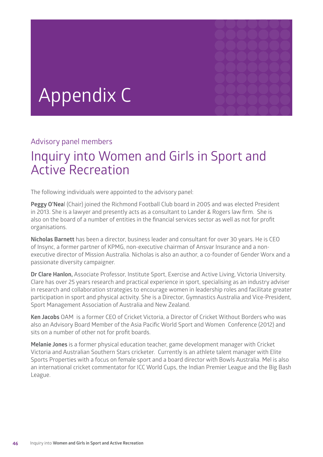# Appendix C

#### Advisory panel members

# Inquiry into Women and Girls in Sport and Active Recreation

The following individuals were appointed to the advisory panel:

**Peggy O'Nea**l (Chair) joined the Richmond Football Club board in 2005 and was elected President in 2013. She is a lawyer and presently acts as a consultant to Lander & Rogers law firm. She is also on the board of a number of entities in the financial services sector as well as not for profit organisations.

**Nicholas Barnett** has been a director, business leader and consultant for over 30 years. He is CEO of Insync, a former partner of KPMG, non-executive chairman of Ansvar Insurance and a nonexecutive director of Mission Australia. Nicholas is also an author, a co-founder of Gender Worx and a passionate diversity campaigner.

**Dr Clare Hanlon,** Associate Professor, Institute Sport, Exercise and Active Living, Victoria University. Clare has over 25 years research and practical experience in sport, specialising as an industry adviser in research and collaboration strategies to encourage women in leadership roles and facilitate greater participation in sport and physical activity. She is a Director, Gymnastics Australia and Vice-President, Sport Management Association of Australia and New Zealand.

**Ken Jacobs** OAM is a former CEO of Cricket Victoria, a Director of Cricket Without Borders who was also an Advisory Board Member of the Asia Pacific World Sport and Women Conference (2012) and sits on a number of other not for profit boards.

**Melanie Jones** is a former physical education teacher, game development manager with Cricket Victoria and Australian Southern Stars cricketer. Currently is an athlete talent manager with Elite Sports Properties with a focus on female sport and a board director with Bowls Australia. Mel is also an international cricket commentator for ICC World Cups, the Indian Premier League and the Big Bash League.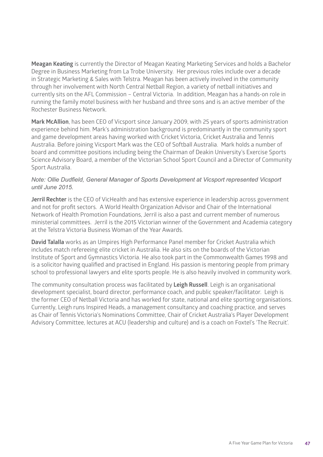**Meagan Keating** is currently the Director of Meagan Keating Marketing Services and holds a Bachelor Degree in Business Marketing from La Trobe University. Her previous roles include over a decade in Strategic Marketing & Sales with Telstra. Meagan has been actively involved in the community through her involvement with North Central Netball Region, a variety of netball initiatives and currently sits on the AFL Commission – Central Victoria. In addition, Meagan has a hands-on role in running the family motel business with her husband and three sons and is an active member of the Rochester Business Network.

**Mark McAllion**, has been CEO of Vicsport since January 2009, with 25 years of sports administration experience behind him. Mark's administration background is predominantly in the community sport and game development areas having worked with Cricket Victoria, Cricket Australia and Tennis Australia. Before joining Vicsport Mark was the CEO of Softball Australia. Mark holds a number of board and committee positions including being the Chairman of Deakin University's Exercise Sports Science Advisory Board, a member of the Victorian School Sport Council and a Director of Community Sport Australia.

#### *Note: Ollie Dudfield, General Manager of Sports Development at Vicsport represented Vicsport until June 2015.*

**Jerril Rechter** is the CEO of VicHealth and has extensive experience in leadership across government and not for profit sectors. A World Health Organization Advisor and Chair of the International Network of Health Promotion Foundations, Jerril is also a past and current member of numerous ministerial committees. Jerril is the 2015 Victorian winner of the Government and Academia category at the Telstra Victoria Business Woman of the Year Awards.

**David Talalla** works as an Umpires High Performance Panel member for Cricket Australia which includes match refereeing elite cricket in Australia. He also sits on the boards of the Victorian Institute of Sport and Gymnastics Victoria. He also took part in the Commonwealth Games 1998 and is a solicitor having qualified and practised in England. His passion is mentoring people from primary school to professional lawyers and elite sports people. He is also heavily involved in community work.

The community consultation process was facilitated by **Leigh Russell**. Leigh is an organisational development specialist, board director, performance coach, and public speaker/facilitator. Leigh is the former CEO of Netball Victoria and has worked for state, national and elite sporting organisations. Currently, Leigh runs Inspired Heads, a management consultancy and coaching practice, and serves as Chair of Tennis Victoria's Nominations Committee, Chair of Cricket Australia's Player Development Advisory Committee, lectures at ACU (leadership and culture) and is a coach on Foxtel's 'The Recruit'.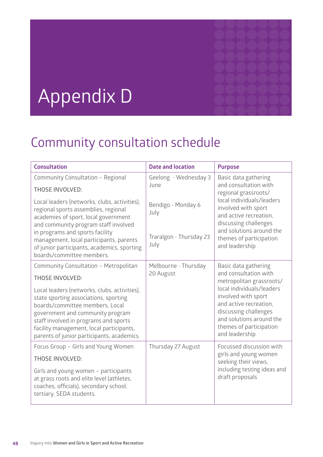# Appendix D

# Community consultation schedule

| <b>Consultation</b>                                                                                                                                                                                                                                                                                                                                                | <b>Date and location</b>                                      | <b>Purpose</b>                                                                                                                                                                                                                                            |
|--------------------------------------------------------------------------------------------------------------------------------------------------------------------------------------------------------------------------------------------------------------------------------------------------------------------------------------------------------------------|---------------------------------------------------------------|-----------------------------------------------------------------------------------------------------------------------------------------------------------------------------------------------------------------------------------------------------------|
| Community Consultation - Regional<br><b>THOSE INVOLVED:</b>                                                                                                                                                                                                                                                                                                        | Geelong - Wednesday 3<br>June                                 | Basic data gathering<br>and consultation with<br>regional grassroots/                                                                                                                                                                                     |
| Local leaders (networks, clubs, activities),<br>regional sports assemblies, regional<br>academies of sport, local government<br>and community program staff involved<br>in programs and sports facility<br>management, local participants, parents<br>of junior participants, academics, sporting<br>boards/committee members.                                     | Bendigo - Monday 6<br>July<br>Traralgon - Thursday 23<br>July | local individuals/leaders<br>involved with sport<br>and active recreation,<br>discussing challenges<br>and solutions around the<br>themes of participation<br>and leadership                                                                              |
| Community Consultation - Metropolitan<br><b>THOSE INVOLVED:</b><br>Local leaders (networks, clubs, activities),<br>state sporting associations, sporting<br>boards/committee members, Local<br>government and community program<br>staff involved in programs and sports<br>facility management, local participants,<br>parents of junior participants, academics. | Melbourne - Thursday<br>20 August                             | Basic data gathering<br>and consultation with<br>metropolitan grassroots/<br>local individuals/leaders<br>involved with sport<br>and active recreation,<br>discussing challenges<br>and solutions around the<br>themes of participation<br>and leadership |
| Focus Group - Girls and Young Women<br><b>THOSE INVOLVED:</b><br>Girls and young women - participants<br>at grass roots and elite level (athletes,<br>coaches, officials), secondary school,<br>tertiary, SEDA students.                                                                                                                                           | Thursday 27 August                                            | Focussed discussion with<br>girls and young women<br>seeking their views,<br>including testing ideas and<br>draft proposals                                                                                                                               |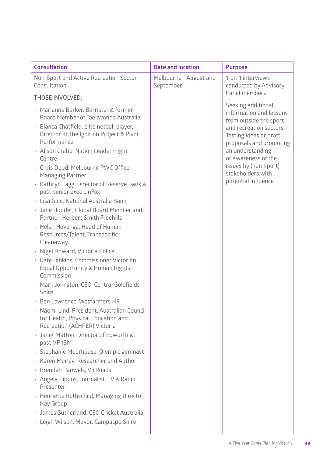| <b>Consultation</b>                                                                                                                                                                                                                     | <b>Date and location</b>            | <b>Purpose</b>                                                                                                                                                              |
|-----------------------------------------------------------------------------------------------------------------------------------------------------------------------------------------------------------------------------------------|-------------------------------------|-----------------------------------------------------------------------------------------------------------------------------------------------------------------------------|
| Non-Sport and Active Recreation Sector<br>Consultation                                                                                                                                                                                  | Melbourne - August and<br>September | 1-on-1 interviews<br>conducted by Advisory<br>Panel members                                                                                                                 |
| <b>THOSE INVOLVED:</b>                                                                                                                                                                                                                  |                                     |                                                                                                                                                                             |
| · Marianne Barker, Barrister & former<br>Board Member of Taekwondo Australia<br>Bianca Chatfield, elite netball player,<br>$\bullet$<br>Director of The Ignition Project & Pivot<br>Performance<br>· Alison Crabb, Nation Leader Flight |                                     | Seeking additional<br>information and lessons<br>from outside the sport<br>and recreation sectors.<br>Testing ideas or draft<br>proposals and promoting<br>an understanding |
| Centre<br>· Chris Dodd, Melbourne PWC Office<br><b>Managing Partner</b>                                                                                                                                                                 |                                     | or awareness of the<br>issues by (non-sport)<br>stakeholders with                                                                                                           |
| · Kathryn Fagg, Director of Reserve Bank &<br>past-senior exec LinFox                                                                                                                                                                   |                                     | potential influence                                                                                                                                                         |
| · Lisa Gale, National Australia Bank                                                                                                                                                                                                    |                                     |                                                                                                                                                                             |
| Jane Hodder, Global Board Member and<br>$\bullet$<br>Partner, Herbert Smith Freehills                                                                                                                                                   |                                     |                                                                                                                                                                             |
| · Helen Hovenga, Head of Human<br>Resources/Talent, Transpacific<br>Cleanaway                                                                                                                                                           |                                     |                                                                                                                                                                             |
| Nigel Howard, Victoria Police<br>$\bullet$                                                                                                                                                                                              |                                     |                                                                                                                                                                             |
| Kate Jenkins, Commissioner Victorian<br>Equal Opportunity & Human Rights<br>Commission                                                                                                                                                  |                                     |                                                                                                                                                                             |
| · Mark Johnston, CEO, Central Goldfields<br>Shire                                                                                                                                                                                       |                                     |                                                                                                                                                                             |
| · Ben Lawrence, Wesfarmers HR                                                                                                                                                                                                           |                                     |                                                                                                                                                                             |
| Naomi Lind, President, Australian Council<br>$\ddot{\phantom{0}}$<br>for Health, Physical Education and<br>Recreation (ACHPER) Victoria                                                                                                 |                                     |                                                                                                                                                                             |
| Janet Matton, Director of Epworth &<br>past-VP IBM                                                                                                                                                                                      |                                     |                                                                                                                                                                             |
| Stephanie Moorhouse, Olympic gymnast<br>$\bullet$                                                                                                                                                                                       |                                     |                                                                                                                                                                             |
| Karen Morley, Researcher and Author<br>$\bullet$                                                                                                                                                                                        |                                     |                                                                                                                                                                             |
| Brendan Pauwels, VicRoads<br>$\bullet$                                                                                                                                                                                                  |                                     |                                                                                                                                                                             |
| · Angela Pippos, Journalist, TV & Radio<br>Presenter                                                                                                                                                                                    |                                     |                                                                                                                                                                             |
| · Henriette Rothschild, Managing Director,<br>Hay Group                                                                                                                                                                                 |                                     |                                                                                                                                                                             |
| James Sutherland, CEO Cricket Australia                                                                                                                                                                                                 |                                     |                                                                                                                                                                             |
| · Leigh Wilson, Mayor, Campaspe Shire                                                                                                                                                                                                   |                                     |                                                                                                                                                                             |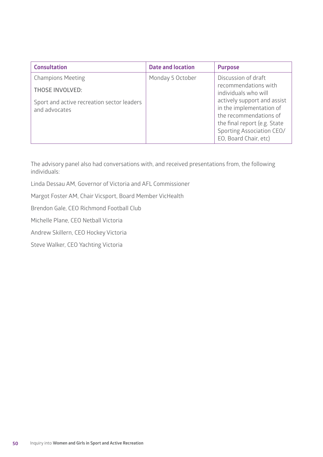| <b>Consultation</b>                                         | <b>Date and location</b> | <b>Purpose</b>                                                                                                                                                          |
|-------------------------------------------------------------|--------------------------|-------------------------------------------------------------------------------------------------------------------------------------------------------------------------|
| <b>Champions Meeting</b>                                    | Monday 5 October         | Discussion of draft                                                                                                                                                     |
| <b>THOSE INVOLVED:</b>                                      |                          | recommendations with<br>individuals who will                                                                                                                            |
| Sport and active recreation sector leaders<br>and advocates |                          | actively support and assist<br>in the implementation of<br>the recommendations of<br>the final report (e.g. State<br>Sporting Association CEO/<br>EO, Board Chair, etc) |

The advisory panel also had conversations with, and received presentations from, the following individuals:

Linda Dessau AM, Governor of Victoria and AFL Commissioner

Margot Foster AM, Chair Vicsport, Board Member VicHealth

Brendon Gale, CEO Richmond Football Club

Michelle Plane, CEO Netball Victoria

Andrew Skillern, CEO Hockey Victoria

Steve Walker, CEO Yachting Victoria